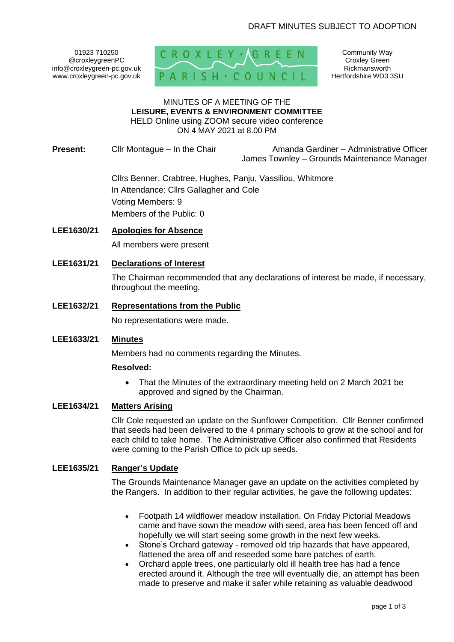01923 710250 @croxleygreenPC info@croxleygreen-pc.gov.uk www.croxleygreen-pc.gov.uk



Community Way Croxley Green Rickmansworth Hertfordshire WD3 3SU

### MINUTES OF A MEETING OF THE **LEISURE, EVENTS & ENVIRONMENT COMMITTEE** HELD Online using ZOOM secure video conference

ON 4 MAY 2021 at 8.00 PM

**Present:** Cllr Montague – In the Chair **Amanda Gardiner – Administrative Officer** James Townley – Grounds Maintenance Manager

> Cllrs Benner, Crabtree, Hughes, Panju, Vassiliou, Whitmore In Attendance: Cllrs Gallagher and Cole Voting Members: 9 Members of the Public: 0

**LEE1630/21 Apologies for Absence**

All members were present

**LEE1631/21 Declarations of Interest** 

The Chairman recommended that any declarations of interest be made, if necessary, throughout the meeting.

**LEE1632/21 Representations from the Public**

No representations were made.

### **LEE1633/21 Minutes**

Members had no comments regarding the Minutes.

#### **Resolved:**

• That the Minutes of the extraordinary meeting held on 2 March 2021 be approved and signed by the Chairman.

# **LEE1634/21 Matters Arising**

Cllr Cole requested an update on the Sunflower Competition. Cllr Benner confirmed that seeds had been delivered to the 4 primary schools to grow at the school and for each child to take home. The Administrative Officer also confirmed that Residents were coming to the Parish Office to pick up seeds.

#### **LEE1635/21 Ranger's Update**

The Grounds Maintenance Manager gave an update on the activities completed by the Rangers. In addition to their regular activities, he gave the following updates:

- Footpath 14 wildflower meadow installation. On Friday Pictorial Meadows came and have sown the meadow with seed, area has been fenced off and hopefully we will start seeing some growth in the next few weeks.
- Stone's Orchard gateway removed old trip hazards that have appeared, flattened the area off and reseeded some bare patches of earth.
- Orchard apple trees, one particularly old ill health tree has had a fence erected around it. Although the tree will eventually die, an attempt has been made to preserve and make it safer while retaining as valuable deadwood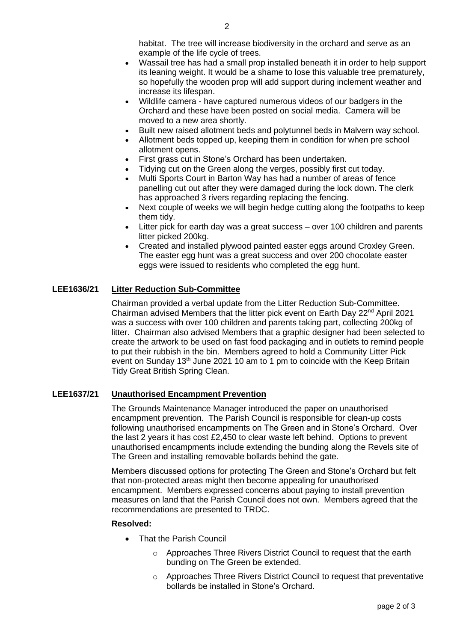habitat. The tree will increase biodiversity in the orchard and serve as an example of the life cycle of trees.

- Wassail tree has had a small prop installed beneath it in order to help support its leaning weight. It would be a shame to lose this valuable tree prematurely, so hopefully the wooden prop will add support during inclement weather and increase its lifespan.
- Wildlife camera have captured numerous videos of our badgers in the Orchard and these have been posted on social media. Camera will be moved to a new area shortly.
- Built new raised allotment beds and polytunnel beds in Malvern way school.
- Allotment beds topped up, keeping them in condition for when pre school allotment opens.
- First grass cut in Stone's Orchard has been undertaken.
- Tidying cut on the Green along the verges, possibly first cut today.
- Multi Sports Court in Barton Way has had a number of areas of fence panelling cut out after they were damaged during the lock down. The clerk has approached 3 rivers regarding replacing the fencing.
- Next couple of weeks we will begin hedge cutting along the footpaths to keep them tidy.
- Litter pick for earth day was a great success over 100 children and parents litter picked 200kg.
- Created and installed plywood painted easter eggs around Croxley Green. The easter egg hunt was a great success and over 200 chocolate easter eggs were issued to residents who completed the egg hunt.

## **LEE1636/21 Litter Reduction Sub-Committee**

Chairman provided a verbal update from the Litter Reduction Sub-Committee. Chairman advised Members that the litter pick event on Earth Day 22<sup>nd</sup> April 2021 was a success with over 100 children and parents taking part, collecting 200kg of litter. Chairman also advised Members that a graphic designer had been selected to create the artwork to be used on fast food packaging and in outlets to remind people to put their rubbish in the bin. Members agreed to hold a Community Litter Pick event on Sunday  $13<sup>th</sup>$  June 2021 10 am to 1 pm to coincide with the Keep Britain Tidy Great British Spring Clean.

#### **LEE1637/21 Unauthorised Encampment Prevention**

The Grounds Maintenance Manager introduced the paper on unauthorised encampment prevention. The Parish Council is responsible for clean-up costs following unauthorised encampments on The Green and in Stone's Orchard. Over the last 2 years it has cost £2,450 to clear waste left behind. Options to prevent unauthorised encampments include extending the bunding along the Revels site of The Green and installing removable bollards behind the gate.

Members discussed options for protecting The Green and Stone's Orchard but felt that non-protected areas might then become appealing for unauthorised encampment. Members expressed concerns about paying to install prevention measures on land that the Parish Council does not own. Members agreed that the recommendations are presented to TRDC.

#### **Resolved:**

- **That the Parish Council** 
	- o Approaches Three Rivers District Council to request that the earth bunding on The Green be extended.
	- o Approaches Three Rivers District Council to request that preventative bollards be installed in Stone's Orchard.